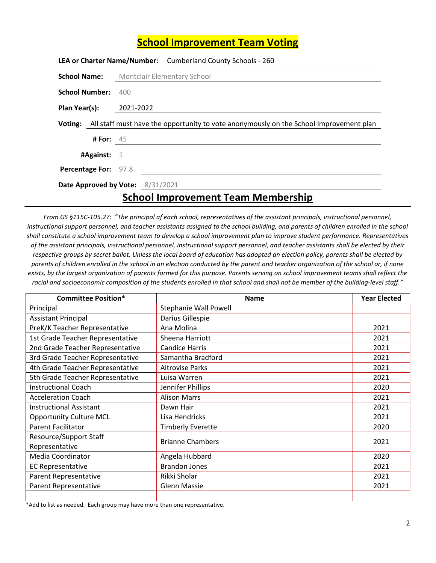## School Improvement Team Voting

|                                                 |                 |           | LEA or Charter Name/Number: Cumberland County Schools - 260                                    |
|-------------------------------------------------|-----------------|-----------|------------------------------------------------------------------------------------------------|
| <b>School Name:</b> Montclair Elementary School |                 |           |                                                                                                |
| School Number: 400                              |                 |           |                                                                                                |
| Plan Year(s):                                   |                 | 2021-2022 |                                                                                                |
|                                                 |                 |           | Voting: All staff must have the opportunity to vote anonymously on the School Improvement plan |
|                                                 | <b>#For: 45</b> |           |                                                                                                |
| #Against: $1$                                   |                 |           |                                                                                                |
| Percentage For: 97.8                            |                 |           |                                                                                                |
| Date Approved by Vote: 8/31/2021                |                 |           |                                                                                                |

## School Improvement Team Membership

From GS §115C-105.27: "The principal af each school, representatives of the assistant principals, instructional personnel, instructional support personnel, and teacher assistants assigned to the school building, and parents of children enrolled in the school shall constitute a school improvement team to develop a school improvement plan to improve student performance. Representatives of the assistant principals, instructional personnel, instructional support personnel, and teacher assistants shall be elected by their respective groups by secret ballot. Unless the local board of education has adopted an election policy, parents shall be elected by parents of children enrolled in the school in an election conducted by the parent and teacher organization of the school or, if none exists, by the largest organization of parents formed for this purpose. Parents serving on school improvement teams shall reflect the racial and socioeconomic composition of the students enrolled in that school and shall not be member of the building-level staff."

| <b>Committee Position*</b>       | <b>Name</b>                  | <b>Year Elected</b> |
|----------------------------------|------------------------------|---------------------|
| Principal                        | <b>Stephanie Wall Powell</b> |                     |
| <b>Assistant Principal</b>       | Darius Gillespie             |                     |
| PreK/K Teacher Representative    | Ana Molina                   | 2021                |
| 1st Grade Teacher Representative | Sheena Harriott              | 2021                |
| 2nd Grade Teacher Representative | <b>Candice Harris</b>        | 2021                |
| 3rd Grade Teacher Representative | Samantha Bradford            | 2021                |
| 4th Grade Teacher Representative | <b>Altrovise Parks</b>       | 2021                |
| 5th Grade Teacher Representative | Luisa Warren                 | 2021                |
| <b>Instructional Coach</b>       | Jennifer Phillips            | 2020                |
| <b>Acceleration Coach</b>        | <b>Alison Marrs</b>          | 2021                |
| <b>Instructional Assistant</b>   | Dawn Hair                    | 2021                |
| <b>Opportunity Culture MCL</b>   | Lisa Hendricks               | 2021                |
| <b>Parent Facilitator</b>        | <b>Timberly Everette</b>     | 2020                |
| Resource/Support Staff           | <b>Brianne Chambers</b>      | 2021                |
| Representative                   |                              |                     |
| Media Coordinator                | Angela Hubbard               | 2020                |
| <b>EC Representative</b>         | <b>Brandon Jones</b>         | 2021                |
| Parent Representative            | Rikki Sholar                 | 2021                |
| Parent Representative            | <b>Glenn Massie</b>          | 2021                |
|                                  |                              |                     |

\*Add to list as needed. Each group may have more than one representative.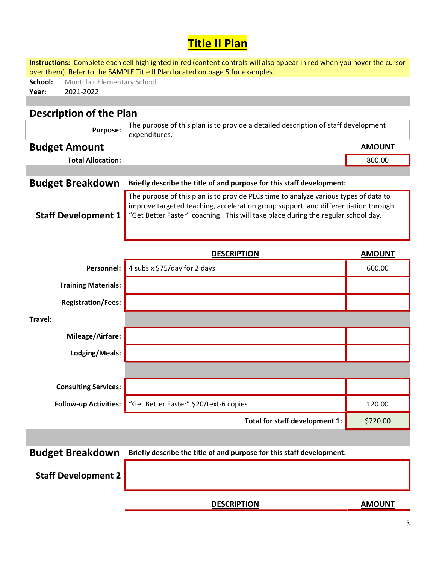## Title II Plan

| Instructions: Complete each cell highlighted in red (content controls will also appear in red when you hover the cursor<br>over them). Refer to the SAMPLE Title II Plan located on page 5 for examples. |                                                                                                                                                                                                                                                                 |               |  |  |  |  |  |  |
|----------------------------------------------------------------------------------------------------------------------------------------------------------------------------------------------------------|-----------------------------------------------------------------------------------------------------------------------------------------------------------------------------------------------------------------------------------------------------------------|---------------|--|--|--|--|--|--|
| School:                                                                                                                                                                                                  | Montclair Elementary School                                                                                                                                                                                                                                     |               |  |  |  |  |  |  |
| 2021-2022<br>Year:                                                                                                                                                                                       |                                                                                                                                                                                                                                                                 |               |  |  |  |  |  |  |
|                                                                                                                                                                                                          |                                                                                                                                                                                                                                                                 |               |  |  |  |  |  |  |
| <b>Description of the Plan</b>                                                                                                                                                                           |                                                                                                                                                                                                                                                                 |               |  |  |  |  |  |  |
| <b>Purpose:</b>                                                                                                                                                                                          | The purpose of this plan is to provide a detailed description of staff development<br>expenditures.                                                                                                                                                             |               |  |  |  |  |  |  |
| <b>Budget Amount</b>                                                                                                                                                                                     |                                                                                                                                                                                                                                                                 | <b>AMOUNT</b> |  |  |  |  |  |  |
| <b>Total Allocation:</b>                                                                                                                                                                                 |                                                                                                                                                                                                                                                                 | 800.00        |  |  |  |  |  |  |
|                                                                                                                                                                                                          |                                                                                                                                                                                                                                                                 |               |  |  |  |  |  |  |
| <b>Budget Breakdown</b>                                                                                                                                                                                  | Briefly describe the title of and purpose for this staff development:                                                                                                                                                                                           |               |  |  |  |  |  |  |
| <b>Staff Development 1</b>                                                                                                                                                                               | The purpose of this plan is to provide PLCs time to analyze various types of data to<br>improve targeted teaching, acceleration group support, and differentiation through<br>"Get Better Faster" coaching. This will take place during the regular school day. |               |  |  |  |  |  |  |
|                                                                                                                                                                                                          | <b>DESCRIPTION</b>                                                                                                                                                                                                                                              | <b>AMOUNT</b> |  |  |  |  |  |  |
| Personnel:                                                                                                                                                                                               | 4 subs x \$75/day for 2 days                                                                                                                                                                                                                                    | 600.00        |  |  |  |  |  |  |
| <b>Training Materials:</b>                                                                                                                                                                               |                                                                                                                                                                                                                                                                 |               |  |  |  |  |  |  |
| <b>Registration/Fees:</b>                                                                                                                                                                                |                                                                                                                                                                                                                                                                 |               |  |  |  |  |  |  |
| Travel:                                                                                                                                                                                                  |                                                                                                                                                                                                                                                                 |               |  |  |  |  |  |  |
| Mileage/Airfare:                                                                                                                                                                                         |                                                                                                                                                                                                                                                                 |               |  |  |  |  |  |  |
| Lodging/Meals:                                                                                                                                                                                           |                                                                                                                                                                                                                                                                 |               |  |  |  |  |  |  |
|                                                                                                                                                                                                          |                                                                                                                                                                                                                                                                 |               |  |  |  |  |  |  |
| <b>Consulting Services:</b>                                                                                                                                                                              |                                                                                                                                                                                                                                                                 |               |  |  |  |  |  |  |
| <b>Follow-up Activities:</b>                                                                                                                                                                             | "Get Better Faster" \$20/text-6 copies                                                                                                                                                                                                                          | 120.00        |  |  |  |  |  |  |
|                                                                                                                                                                                                          | Total for staff development 1:                                                                                                                                                                                                                                  | \$720.00      |  |  |  |  |  |  |
|                                                                                                                                                                                                          |                                                                                                                                                                                                                                                                 |               |  |  |  |  |  |  |
| <b>Budget Breakdown</b>                                                                                                                                                                                  | Briefly describe the title of and purpose for this staff development:                                                                                                                                                                                           |               |  |  |  |  |  |  |
| <b>Staff Development 2</b>                                                                                                                                                                               |                                                                                                                                                                                                                                                                 |               |  |  |  |  |  |  |
|                                                                                                                                                                                                          | <b>DESCRIPTION</b>                                                                                                                                                                                                                                              | <b>AMOUNT</b> |  |  |  |  |  |  |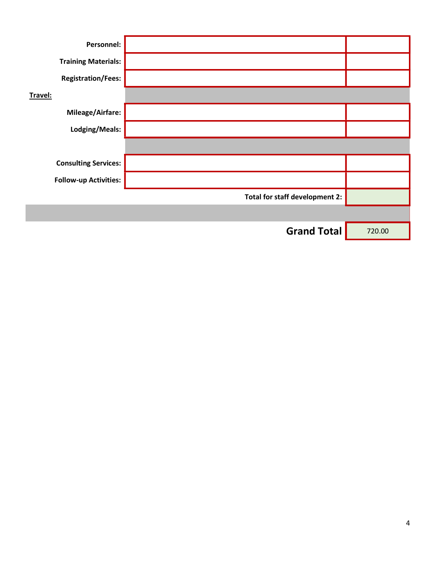| Personnel:                   |                                |        |
|------------------------------|--------------------------------|--------|
| <b>Training Materials:</b>   |                                |        |
| <b>Registration/Fees:</b>    |                                |        |
| Travel:                      |                                |        |
| <b>Mileage/Airfare:</b>      |                                |        |
| Lodging/Meals:               |                                |        |
|                              |                                |        |
| <b>Consulting Services:</b>  |                                |        |
| <b>Follow-up Activities:</b> |                                |        |
|                              | Total for staff development 2: |        |
|                              |                                |        |
|                              | <b>Grand Total</b>             | 720.00 |